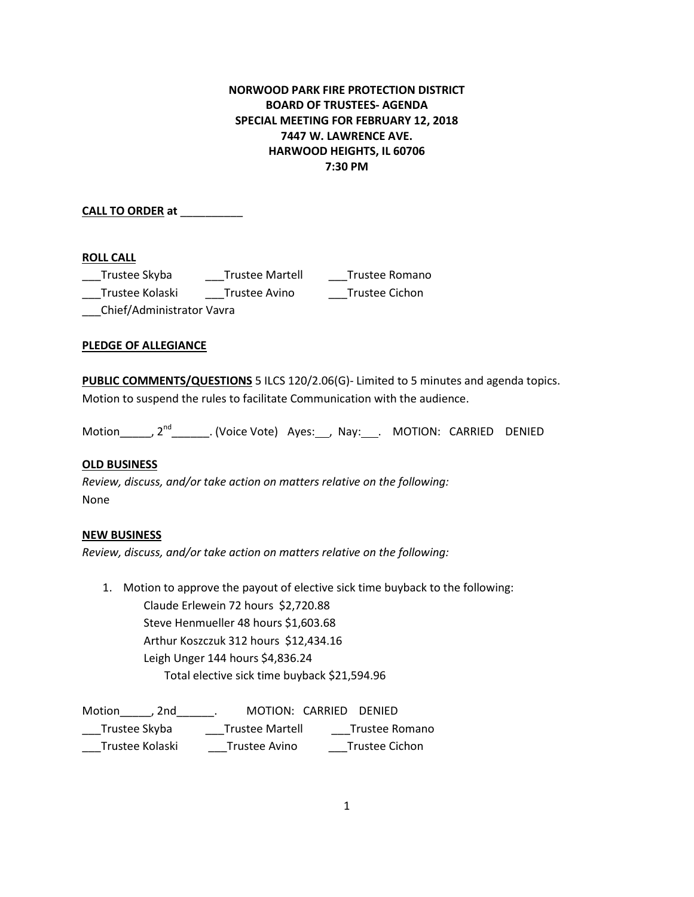# **NORWOOD PARK FIRE PROTECTION DISTRICT BOARD OF TRUSTEES- AGENDA SPECIAL MEETING FOR FEBRUARY 12, 2018 7447 W. LAWRENCE AVE. HARWOOD HEIGHTS, IL 60706 7:30 PM**

**CALL TO ORDER at** \_\_\_\_\_\_\_\_\_\_

## **ROLL CALL**

| Trustee Skyba             | <b>Trustee Martell</b> | Trustee Romano |
|---------------------------|------------------------|----------------|
| Trustee Kolaski           | Trustee Avino          | Trustee Cichon |
| Chief/Administrator Vavra |                        |                |

## **PLEDGE OF ALLEGIANCE**

**PUBLIC COMMENTS/QUESTIONS** 5 ILCS 120/2.06(G)- Limited to 5 minutes and agenda topics. Motion to suspend the rules to facilitate Communication with the audience.

Motion\_\_\_\_\_, 2<sup>nd</sup>\_\_\_\_\_\_\_. (Voice Vote) Ayes:\_\_\_, Nay:\_\_\_. MOTION: CARRIED DENIED

## **OLD BUSINESS**

*Review, discuss, and/or take action on matters relative on the following:* None

### **NEW BUSINESS**

*Review, discuss, and/or take action on matters relative on the following:*

1. Motion to approve the payout of elective sick time buyback to the following: Claude Erlewein 72 hours \$2,720.88 Steve Henmueller 48 hours \$1,603.68 Arthur Koszczuk 312 hours \$12,434.16 Leigh Unger 144 hours \$4,836.24 Total elective sick time buyback \$21,594.96

| Motion<br>2nd   | MOTION: CARRIED DENIED |                |
|-----------------|------------------------|----------------|
| Trustee Skyba   | Trustee Martell        | Trustee Romano |
| Trustee Kolaski | Trustee Avino          | Trustee Cichon |